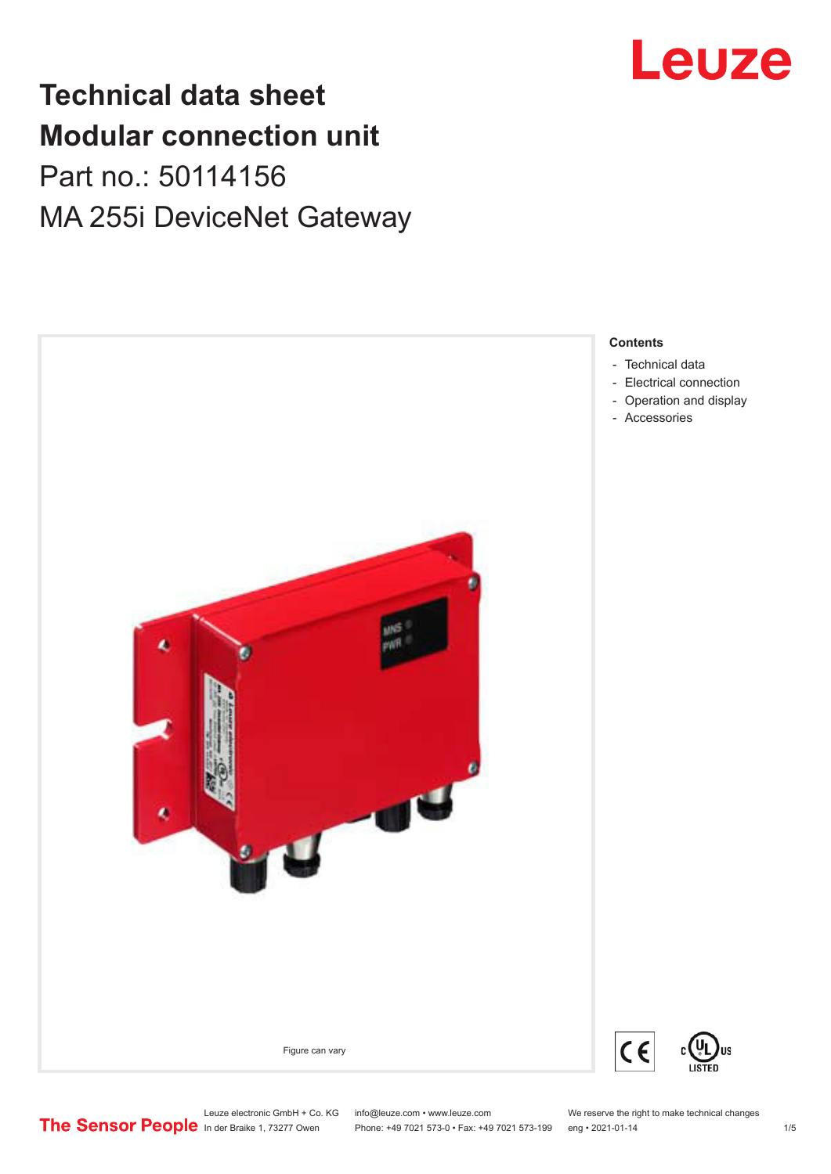# **Technical data sheet Modular connection unit** Part no.: 50114156

# MA 255i DeviceNet Gateway





Leuze electronic GmbH + Co. KG info@leuze.com • www.leuze.com We reserve the right to make technical changes<br>
The Sensor People in der Braike 1, 73277 Owen Phone: +49 7021 573-0 • Fax: +49 7021 573-199 eng • 2021-01-14

Phone: +49 7021 573-0 • Fax: +49 7021 573-199 eng • 2021-01-14 1 79 and 1/5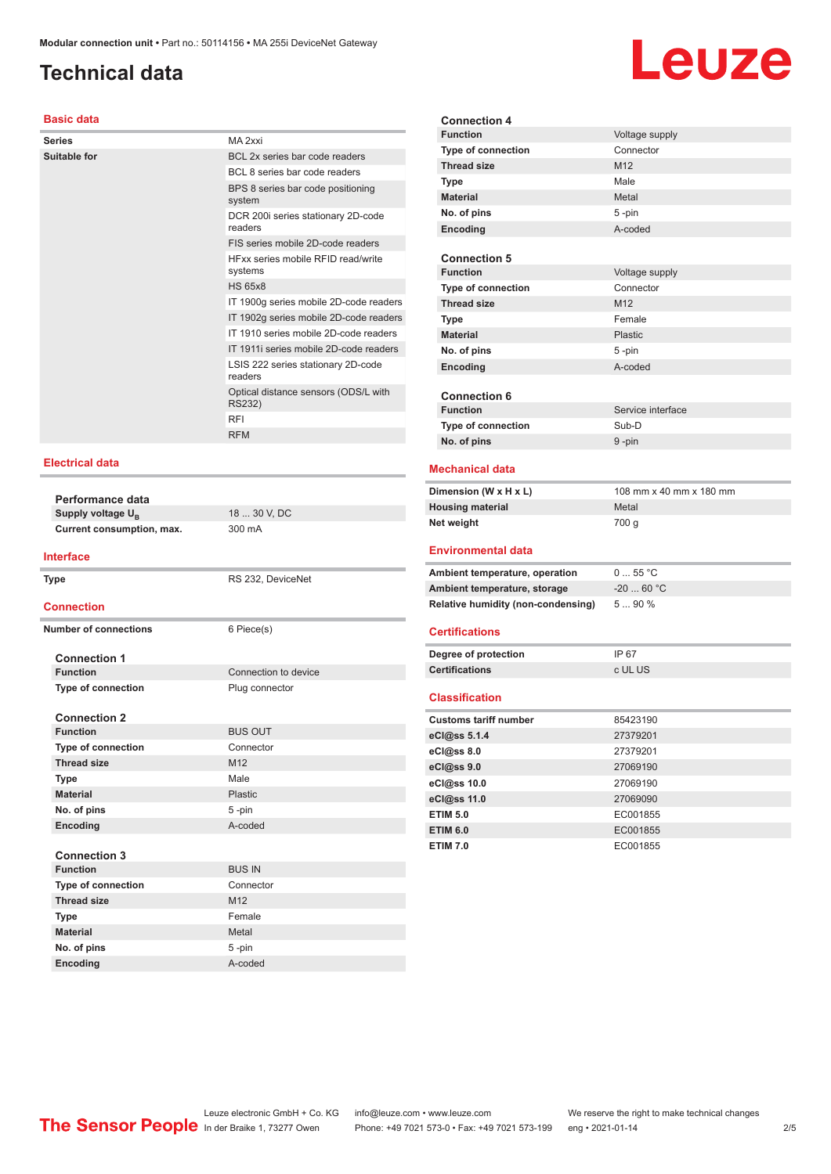## <span id="page-1-0"></span>**Technical data**

# Leuze

### **Basic data**

| <b>Series</b> | MA 2xxi                                        |
|---------------|------------------------------------------------|
| Suitable for  | BCL 2x series bar code readers                 |
|               | BCL 8 series bar code readers                  |
|               | BPS 8 series bar code positioning<br>system    |
|               | DCR 200i series stationary 2D-code<br>readers  |
|               | FIS series mobile 2D-code readers              |
|               | HExx series mobile REID read/write<br>systems  |
|               | <b>HS 65x8</b>                                 |
|               | IT 1900g series mobile 2D-code readers         |
|               | IT 1902g series mobile 2D-code readers         |
|               | IT 1910 series mobile 2D-code readers          |
|               | IT 1911i series mobile 2D-code readers         |
|               | LSIS 222 series stationary 2D-code<br>readers  |
|               | Optical distance sensors (ODS/L with<br>RS232) |
|               | <b>RFI</b>                                     |
|               | <b>RFM</b>                                     |
|               |                                                |

### **Electrical data**

| Performance data              |                      |  |  |
|-------------------------------|----------------------|--|--|
| Supply voltage U <sub>R</sub> | 18  30 V, DC         |  |  |
| Current consumption, max.     | 300 mA               |  |  |
|                               |                      |  |  |
| Interface                     |                      |  |  |
| <b>Type</b>                   | RS 232, DeviceNet    |  |  |
| <b>Connection</b>             |                      |  |  |
| <b>Number of connections</b>  | 6 Piece(s)           |  |  |
| <b>Connection 1</b>           |                      |  |  |
| <b>Function</b>               | Connection to device |  |  |
| <b>Type of connection</b>     | Plug connector       |  |  |
|                               |                      |  |  |
| <b>Connection 2</b>           |                      |  |  |
| <b>Function</b>               | <b>BUS OUT</b>       |  |  |
| <b>Type of connection</b>     | Connector            |  |  |
| <b>Thread size</b>            | M <sub>12</sub>      |  |  |
| <b>Type</b>                   | Male                 |  |  |
| <b>Material</b>               | Plastic              |  |  |
| No. of pins                   | 5-pin                |  |  |
| Encoding                      | A-coded              |  |  |
|                               |                      |  |  |
| $R$ annaatian 9               |                      |  |  |

| <b>Connection 3</b>       |                 |  |
|---------------------------|-----------------|--|
| <b>Function</b>           | <b>BUS IN</b>   |  |
| <b>Type of connection</b> | Connector       |  |
| <b>Thread size</b>        | M <sub>12</sub> |  |
| <b>Type</b>               | Female          |  |
| <b>Material</b>           | Metal           |  |
| No. of pins               | $5 - pin$       |  |
| Encoding                  | A-coded         |  |

| <b>Connection 4</b>                                            |                         |
|----------------------------------------------------------------|-------------------------|
| <b>Function</b>                                                | Voltage supply          |
| <b>Type of connection</b>                                      | Connector               |
| <b>Thread size</b>                                             | M12                     |
| <b>Type</b>                                                    | Male                    |
| <b>Material</b>                                                | Metal                   |
| No. of pins                                                    | 5-pin                   |
| Encoding                                                       | A-coded                 |
|                                                                |                         |
| <b>Connection 5</b>                                            |                         |
| <b>Function</b>                                                | Voltage supply          |
| <b>Type of connection</b>                                      | Connector               |
| <b>Thread size</b>                                             | M <sub>12</sub>         |
| <b>Type</b>                                                    | Female                  |
| <b>Material</b>                                                | Plastic                 |
| No. of pins                                                    | 5-pin                   |
| Encoding                                                       | A-coded                 |
|                                                                |                         |
| <b>Connection 6</b>                                            |                         |
| <b>Function</b>                                                | Service interface       |
| Type of connection                                             | Sub-D                   |
| No. of pins                                                    | 9-pin                   |
|                                                                |                         |
|                                                                |                         |
| <b>Mechanical data</b>                                         |                         |
| Dimension (W x H x L)                                          | 108 mm x 40 mm x 180 mm |
| <b>Housing material</b>                                        | Metal                   |
|                                                                |                         |
| Net weight                                                     | 700 g                   |
| <b>Environmental data</b>                                      |                         |
|                                                                | $055$ °C                |
| Ambient temperature, operation<br>Ambient temperature, storage | $-20$ 60 °C             |
| Relative humidity (non-condensing)                             | 5  90 %                 |
|                                                                |                         |
| <b>Certifications</b>                                          |                         |
|                                                                | IP 67                   |
| Degree of protection<br><b>Certifications</b>                  | c UL US                 |
|                                                                |                         |
| <b>Classification</b>                                          |                         |
| <b>Customs tariff number</b>                                   | 85423190                |
| eCl@ss 5.1.4                                                   | 27379201                |
| eCl@ss 8.0                                                     | 27379201                |
|                                                                | 27069190                |
| eCl@ss 9.0                                                     | 27069190                |
| eCl@ss 10.0<br>eCl@ss 11.0                                     | 27069090                |

**ETIM 6.0** EC001855 **ETIM 7.0** EC001855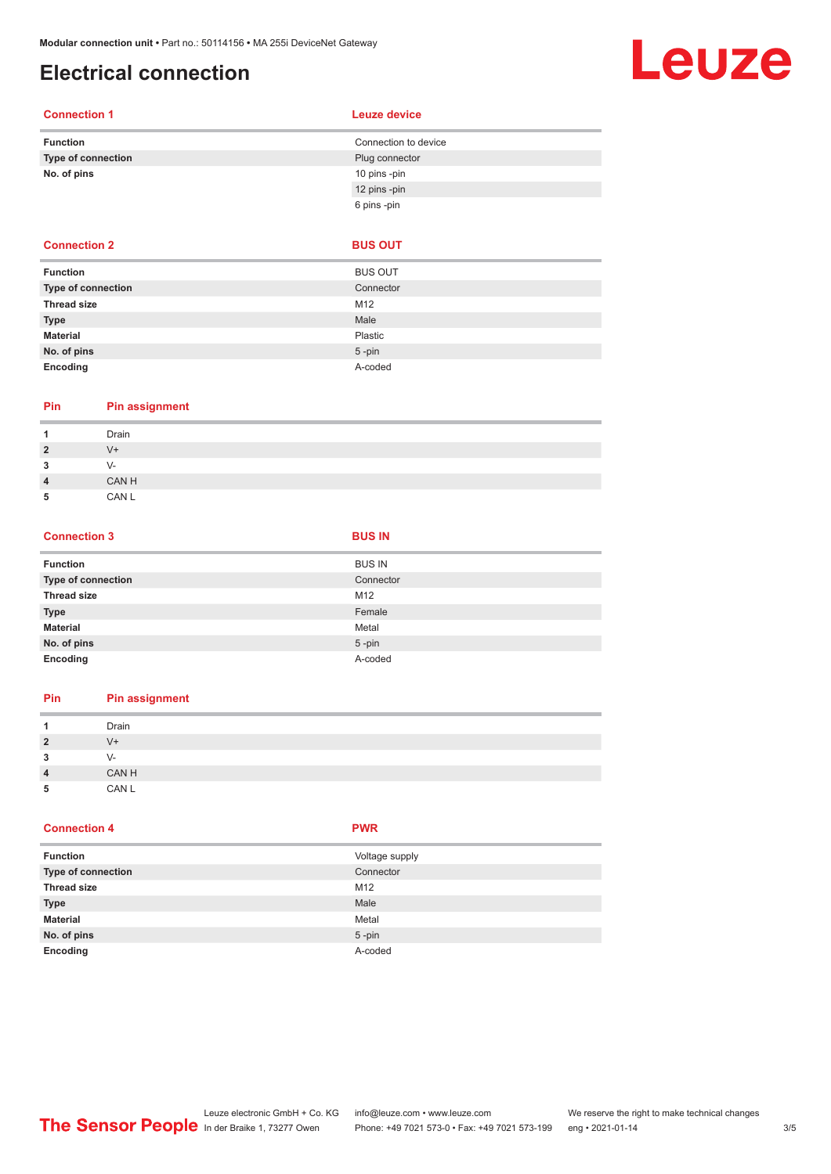## <span id="page-2-0"></span>**Electrical connection**

# Leuze

### **Connection 1 Leuze device**

|  | Leuze device |  |  |
|--|--------------|--|--|
|  |              |  |  |

| <b>Function</b>    | Connection to device |
|--------------------|----------------------|
| Type of connection | Plug connector       |
| No. of pins        | 10 pins -pin         |
|                    | 12 pins -pin         |
|                    | 6 pins -pin          |

### **Connection 2 BUS OUT**

| <b>Function</b>    | <b>BUS OUT</b> |
|--------------------|----------------|
| Type of connection | Connector      |
| <b>Thread size</b> | M12            |
| <b>Type</b>        | Male           |
| <b>Material</b>    | Plastic        |
| No. of pins        | $5$ -pin       |
| Encoding           | A-coded        |

### **Pin Pin assignment**

| ٠              | Drain |
|----------------|-------|
| $\overline{2}$ | V+    |
| 3              | V-    |
| $\overline{4}$ | CAN H |
| 5              | CAN L |

### **Connection 3 BUS IN**

| <b>Function</b>    | <b>BUS IN</b> |
|--------------------|---------------|
| Type of connection | Connector     |
| <b>Thread size</b> | M12           |
| <b>Type</b>        | Female        |
| <b>Material</b>    | Metal         |
| No. of pins        | $5$ -pin      |
| Encoding           | A-coded       |

### **Pin Pin assignment**

|                | Drain |
|----------------|-------|
| 2              | $V +$ |
| 3              | V-    |
| $\overline{4}$ | CAN H |
| 5              | CAN L |

### **Connection 4 PWR**

| <b>Function</b>           | Voltage supply |
|---------------------------|----------------|
| <b>Type of connection</b> | Connector      |
| <b>Thread size</b>        | M12            |
| <b>Type</b>               | Male           |
| <b>Material</b>           | Metal          |
| No. of pins               | $5$ -pin       |
| Encoding                  | A-coded        |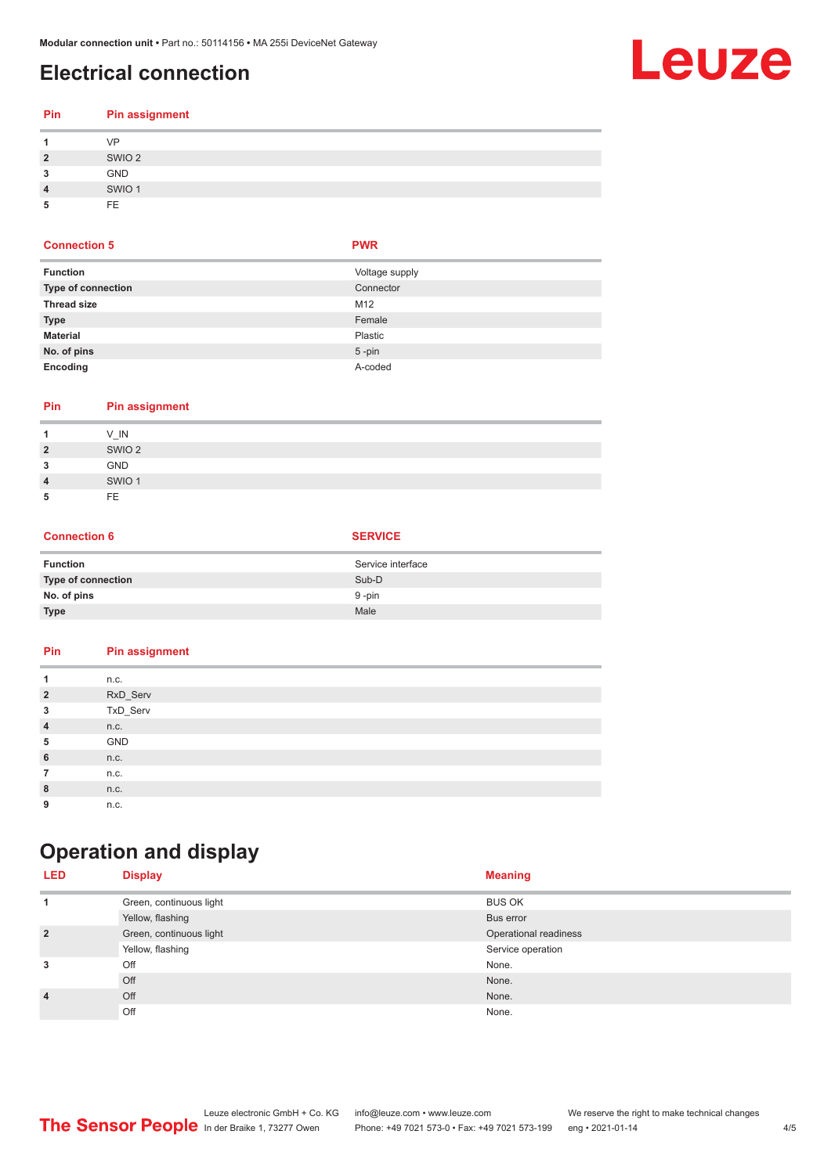## <span id="page-3-0"></span>**Electrical connection**

# **Leuze**

| Pin            | <b>Pin assignment</b> |
|----------------|-----------------------|
|                | <b>VP</b>             |
| $\overline{2}$ | SWIO <sub>2</sub>     |
| 3              | <b>GND</b>            |
| $\overline{4}$ | SWIO <sub>1</sub>     |
| 5              | FE.                   |

### **Connection 5 PWR**

| <b>Function</b>           | Voltage supply |
|---------------------------|----------------|
| <b>Type of connection</b> | Connector      |
| <b>Thread size</b>        | M12            |
| <b>Type</b>               | Female         |
| <b>Material</b>           | Plastic        |
| No. of pins               | $5$ -pin       |
| Encoding                  | A-coded        |

| Pin |  | <b>Pin assignment</b> |
|-----|--|-----------------------|
|     |  |                       |

|                | $V$ <sub>IN</sub> |
|----------------|-------------------|
| $\overline{2}$ | SWIO <sub>2</sub> |
| 3              | <b>GND</b>        |
| 4              | SWIO <sub>1</sub> |
| 5              | <b>FE</b>         |

### **Connection 6 SERVICE**

| <b>Function</b>    | Service interface |
|--------------------|-------------------|
| Type of connection | Sub-D             |
| No. of pins        | 9 -pin            |
| <b>Type</b>        | Male              |

| Pin | <b>Pin assignment</b> |
|-----|-----------------------|

| 1              | n.c.     |
|----------------|----------|
| $\overline{2}$ | RxD_Serv |
| 3              | TxD_Serv |
| $\overline{4}$ | n.c.     |
| 5              | GND      |
| 6              | n.c.     |
| $\overline{7}$ | n.c.     |
| 8              | n.c.     |
| 9              | n.c.     |

# **Operation and display**

| <b>LED</b>     | <b>Display</b>          | <b>Meaning</b>        |
|----------------|-------------------------|-----------------------|
|                | Green, continuous light | <b>BUS OK</b>         |
|                | Yellow, flashing        | Bus error             |
| $\overline{2}$ | Green, continuous light | Operational readiness |
|                | Yellow, flashing        | Service operation     |
| 3              | Off                     | None.                 |
|                | Off                     | None.                 |
| $\overline{4}$ | Off                     | None.                 |
|                | Off                     | None.                 |